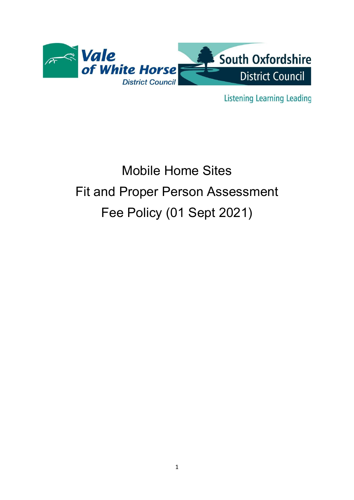

**Listening Learning Leading** 

# Mobile Home Sites Fit and Proper Person Assessment Fee Policy (01 Sept 2021)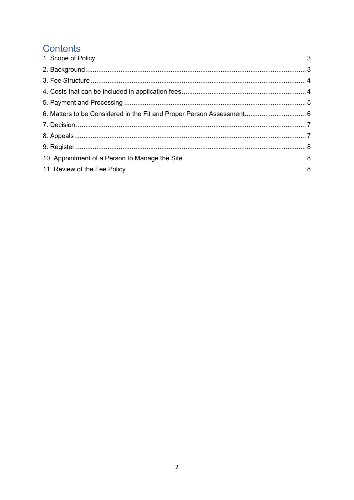# **Contents**

| 6. Matters to be Considered in the Fit and Proper Person Assessment 6 |  |
|-----------------------------------------------------------------------|--|
|                                                                       |  |
|                                                                       |  |
|                                                                       |  |
|                                                                       |  |
|                                                                       |  |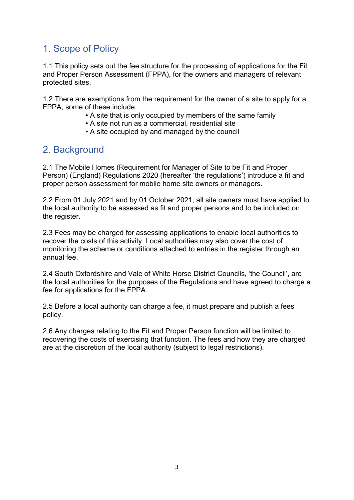## 1. Scope of Policy

1.1 This policy sets out the fee structure for the processing of applications for the Fit and Proper Person Assessment (FPPA), for the owners and managers of relevant protected sites.

1.2 There are exemptions from the requirement for the owner of a site to apply for a FPPA, some of these include:

- A site that is only occupied by members of the same family
- A site not run as a commercial, residential site
- A site occupied by and managed by the council

#### 2. Background

2.1 The Mobile Homes (Requirement for Manager of Site to be Fit and Proper Person) (England) Regulations 2020 (hereafter 'the regulations') introduce a fit and proper person assessment for mobile home site owners or managers.

2.2 From 01 July 2021 and by 01 October 2021, all site owners must have applied to the local authority to be assessed as fit and proper persons and to be included on the register.

2.3 Fees may be charged for assessing applications to enable local authorities to recover the costs of this activity. Local authorities may also cover the cost of monitoring the scheme or conditions attached to entries in the register through an annual fee.

2.4 South Oxfordshire and Vale of White Horse District Councils, 'the Council', are the local authorities for the purposes of the Regulations and have agreed to charge a fee for applications for the FPPA.

2.5 Before a local authority can charge a fee, it must prepare and publish a fees policy.

2.6 Any charges relating to the Fit and Proper Person function will be limited to recovering the costs of exercising that function. The fees and how they are charged are at the discretion of the local authority (subject to legal restrictions).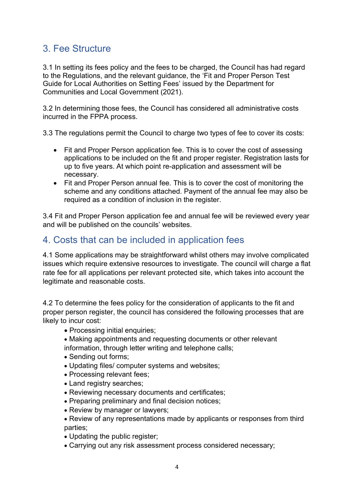#### 3. Fee Structure

3.1 In setting its fees policy and the fees to be charged, the Council has had regard to the Regulations, and the relevant guidance, the 'Fit and Proper Person Test Guide for Local Authorities on Setting Fees' issued by the Department for Communities and Local Government (2021).

3.2 In determining those fees, the Council has considered all administrative costs incurred in the FPPA process.

3.3 The regulations permit the Council to charge two types of fee to cover its costs:

- Fit and Proper Person application fee. This is to cover the cost of assessing applications to be included on the fit and proper register. Registration lasts for up to five years. At which point re-application and assessment will be necessary.
- Fit and Proper Person annual fee. This is to cover the cost of monitoring the scheme and any conditions attached. Payment of the annual fee may also be required as a condition of inclusion in the register.

3.4 Fit and Proper Person application fee and annual fee will be reviewed every year and will be published on the councils' websites.

#### 4. Costs that can be included in application fees

4.1 Some applications may be straightforward whilst others may involve complicated issues which require extensive resources to investigate. The council will charge a flat rate fee for all applications per relevant protected site, which takes into account the legitimate and reasonable costs.

4.2 To determine the fees policy for the consideration of applicants to the fit and proper person register, the council has considered the following processes that are likely to incur cost:

- Processing initial enquiries;
- Making appointments and requesting documents or other relevant information, through letter writing and telephone calls;
- Sending out forms;
- Updating files/ computer systems and websites;
- Processing relevant fees;
- Land registry searches;
- Reviewing necessary documents and certificates;
- Preparing preliminary and final decision notices:
- Review by manager or lawyers;
- Review of any representations made by applicants or responses from third parties;
- Updating the public register;
- Carrying out any risk assessment process considered necessary;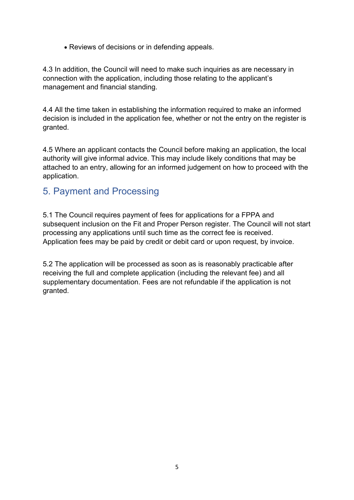• Reviews of decisions or in defending appeals.

4.3 In addition, the Council will need to make such inquiries as are necessary in connection with the application, including those relating to the applicant's management and financial standing.

4.4 All the time taken in establishing the information required to make an informed decision is included in the application fee, whether or not the entry on the register is granted.

4.5 Where an applicant contacts the Council before making an application, the local authority will give informal advice. This may include likely conditions that may be attached to an entry, allowing for an informed judgement on how to proceed with the application.

#### 5. Payment and Processing

5.1 The Council requires payment of fees for applications for a FPPA and subsequent inclusion on the Fit and Proper Person register. The Council will not start processing any applications until such time as the correct fee is received. Application fees may be paid by credit or debit card or upon request, by invoice.

5.2 The application will be processed as soon as is reasonably practicable after receiving the full and complete application (including the relevant fee) and all supplementary documentation. Fees are not refundable if the application is not granted.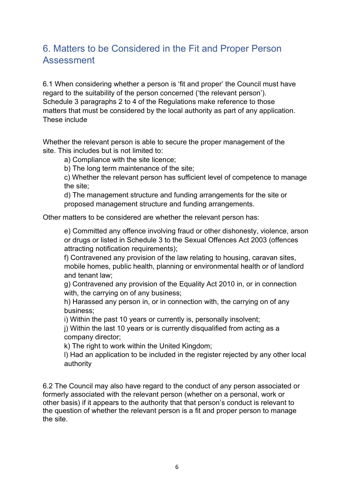## 6. Matters to be Considered in the Fit and Proper Person Assessment

6.1 When considering whether a person is 'fit and proper' the Council must have regard to the suitability of the person concerned ('the relevant person'). Schedule 3 paragraphs 2 to 4 of the Regulations make reference to those matters that must be considered by the local authority as part of any application. These include

Whether the relevant person is able to secure the proper management of the site. This includes but is not limited to:

a) Compliance with the site licence;

b) The long term maintenance of the site;

 c) Whether the relevant person has sufficient level of competence to manage the site;

 d) The management structure and funding arrangements for the site or proposed management structure and funding arrangements.

Other matters to be considered are whether the relevant person has:

 e) Committed any offence involving fraud or other dishonesty, violence, arson or drugs or listed in Schedule 3 to the Sexual Offences Act 2003 (offences attracting notification requirements);

 f) Contravened any provision of the law relating to housing, caravan sites, mobile homes, public health, planning or environmental health or of landlord and tenant law;

 g) Contravened any provision of the Equality Act 2010 in, or in connection with, the carrying on of any business;

 h) Harassed any person in, or in connection with, the carrying on of any business;

i) Within the past 10 years or currently is, personally insolvent;

 j) Within the last 10 years or is currently disqualified from acting as a company director;

k) The right to work within the United Kingdom;

 l) Had an application to be included in the register rejected by any other local authority

6.2 The Council may also have regard to the conduct of any person associated or formerly associated with the relevant person (whether on a personal, work or other basis) if it appears to the authority that that person's conduct is relevant to the question of whether the relevant person is a fit and proper person to manage the site.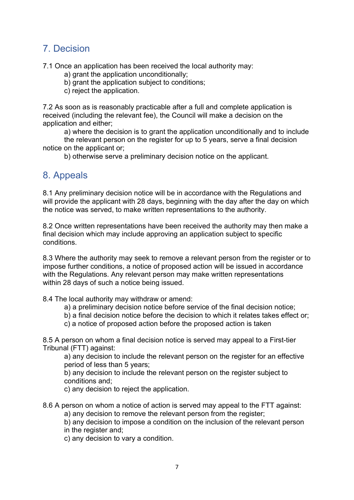#### 7. Decision

7.1 Once an application has been received the local authority may:

a) grant the application unconditionally;

b) grant the application subject to conditions;

c) reject the application.

7.2 As soon as is reasonably practicable after a full and complete application is received (including the relevant fee), the Council will make a decision on the application and either;

a) where the decision is to grant the application unconditionally and to include

 the relevant person on the register for up to 5 years, serve a final decision notice on the applicant or;

b) otherwise serve a preliminary decision notice on the applicant.

#### 8. Appeals

8.1 Any preliminary decision notice will be in accordance with the Regulations and will provide the applicant with 28 days, beginning with the day after the day on which the notice was served, to make written representations to the authority.

8.2 Once written representations have been received the authority may then make a final decision which may include approving an application subject to specific conditions.

8.3 Where the authority may seek to remove a relevant person from the register or to impose further conditions, a notice of proposed action will be issued in accordance with the Regulations. Any relevant person may make written representations within 28 days of such a notice being issued.

8.4 The local authority may withdraw or amend:

- a) a preliminary decision notice before service of the final decision notice;
- b) a final decision notice before the decision to which it relates takes effect or;
- c) a notice of proposed action before the proposed action is taken

8.5 A person on whom a final decision notice is served may appeal to a First-tier Tribunal (FTT) against:

 a) any decision to include the relevant person on the register for an effective period of less than 5 years;

 b) any decision to include the relevant person on the register subject to conditions and;

c) any decision to reject the application.

8.6 A person on whom a notice of action is served may appeal to the FTT against:

a) any decision to remove the relevant person from the register;

 b) any decision to impose a condition on the inclusion of the relevant person in the register and;

c) any decision to vary a condition.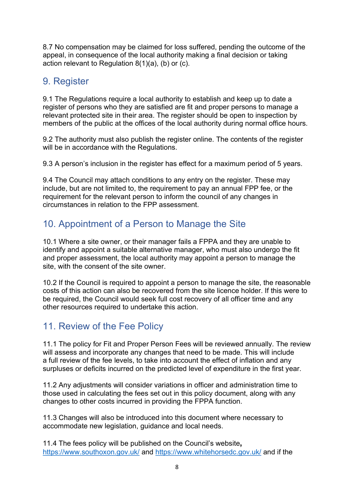8.7 No compensation may be claimed for loss suffered, pending the outcome of the appeal, in consequence of the local authority making a final decision or taking action relevant to Regulation 8(1)(a), (b) or (c).

## 9. Register

9.1 The Regulations require a local authority to establish and keep up to date a register of persons who they are satisfied are fit and proper persons to manage a relevant protected site in their area. The register should be open to inspection by members of the public at the offices of the local authority during normal office hours.

9.2 The authority must also publish the register online. The contents of the register will be in accordance with the Regulations.

9.3 A person's inclusion in the register has effect for a maximum period of 5 years.

9.4 The Council may attach conditions to any entry on the register. These may include, but are not limited to, the requirement to pay an annual FPP fee, or the requirement for the relevant person to inform the council of any changes in circumstances in relation to the FPP assessment.

# 10. Appointment of a Person to Manage the Site

10.1 Where a site owner, or their manager fails a FPPA and they are unable to identify and appoint a suitable alternative manager, who must also undergo the fit and proper assessment, the local authority may appoint a person to manage the site, with the consent of the site owner.

10.2 If the Council is required to appoint a person to manage the site, the reasonable costs of this action can also be recovered from the site licence holder. If this were to be required, the Council would seek full cost recovery of all officer time and any other resources required to undertake this action.

## 11. Review of the Fee Policy

11.1 The policy for Fit and Proper Person Fees will be reviewed annually. The review will assess and incorporate any changes that need to be made. This will include a full review of the fee levels, to take into account the effect of inflation and any surpluses or deficits incurred on the predicted level of expenditure in the first year.

11.2 Any adjustments will consider variations in officer and administration time to those used in calculating the fees set out in this policy document, along with any changes to other costs incurred in providing the FPPA function.

11.3 Changes will also be introduced into this document where necessary to accommodate new legislation, guidance and local needs.

11.4 The fees policy will be published on the Council's website, https://www.southoxon.gov.uk/ and https://www.whitehorsedc.gov.uk/ and if the